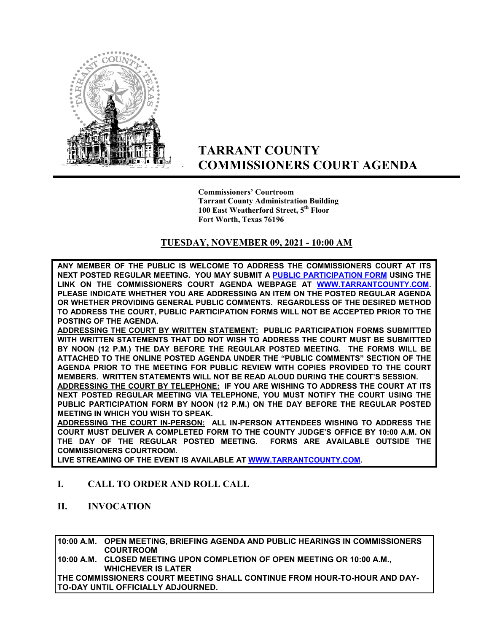

# **TARRANT COUNTY COMMISSIONERS COURT AGENDA**

**Commissioners' Courtroom Tarrant County Administration Building 100 East Weatherford Street, 5th Floor Fort Worth, Texas 76196**

## **TUESDAY, NOVEMBER 09, 2021 - 10:00 AM**

**ANY MEMBER OF THE PUBLIC IS WELCOME TO ADDRESS THE COMMISSIONERS COURT AT ITS NEXT POSTED REGULAR MEETING. YOU MAY SUBMIT A [PUBLIC PARTICIPATION FORM](https://tarrantcounty.na2.documents.adobe.com/public/esignWidget?wid=CBFCIBAA3AAABLblqZhCK1c69fO2NKkvtSrdzlVmA9KtB8oQzGyq6x4PvYBRbgzAxU5a8_HdYBGehP2t_EAc) USING THE LINK ON THE COMMISSIONERS COURT AGENDA WEBPAGE AT [WWW.TARRANTCOUNTY.COM.](http://www.tarrantcounty.com/) PLEASE INDICATE WHETHER YOU ARE ADDRESSING AN ITEM ON THE POSTED REGULAR AGENDA OR WHETHER PROVIDING GENERAL PUBLIC COMMENTS. REGARDLESS OF THE DESIRED METHOD TO ADDRESS THE COURT, PUBLIC PARTICIPATION FORMS WILL NOT BE ACCEPTED PRIOR TO THE POSTING OF THE AGENDA.** 

**ADDRESSING THE COURT BY WRITTEN STATEMENT: PUBLIC PARTICIPATION FORMS SUBMITTED WITH WRITTEN STATEMENTS THAT DO NOT WISH TO ADDRESS THE COURT MUST BE SUBMITTED BY NOON (12 P.M.) THE DAY BEFORE THE REGULAR POSTED MEETING. THE FORMS WILL BE ATTACHED TO THE ONLINE POSTED AGENDA UNDER THE "PUBLIC COMMENTS" SECTION OF THE AGENDA PRIOR TO THE MEETING FOR PUBLIC REVIEW WITH COPIES PROVIDED TO THE COURT MEMBERS. WRITTEN STATEMENTS WILL NOT BE READ ALOUD DURING THE COURT'S SESSION.** 

**ADDRESSING THE COURT BY TELEPHONE: IF YOU ARE WISHING TO ADDRESS THE COURT AT ITS NEXT POSTED REGULAR MEETING VIA TELEPHONE, YOU MUST NOTIFY THE COURT USING THE PUBLIC PARTICIPATION FORM BY NOON (12 P.M.) ON THE DAY BEFORE THE REGULAR POSTED MEETING IN WHICH YOU WISH TO SPEAK.** 

**ADDRESSING THE COURT IN-PERSON: ALL IN-PERSON ATTENDEES WISHING TO ADDRESS THE COURT MUST DELIVER A COMPLETED FORM TO THE COUNTY JUDGE'S OFFICE BY 10:00 A.M. ON THE DAY OF THE REGULAR POSTED MEETING. FORMS ARE AVAILABLE OUTSIDE THE COMMISSIONERS COURTROOM.** 

**LIVE STREAMING OF THE EVENT IS AVAILABLE AT W[WW.TARRANTCOUNTY.COM.](http://www.tarrantcounty.com/)** 

## **I. CALL TO ORDER AND ROLL CALL**

**II. INVOCATION** 

**10:00 A.M. OPEN MEETING, BRIEFING AGENDA AND PUBLIC HEARINGS IN COMMISSIONERS COURTROOM** 

**10:00 A.M. CLOSED MEETING UPON COMPLETION OF OPEN MEETING OR 10:00 A.M., WHICHEVER IS LATER** 

**THE COMMISSIONERS COURT MEETING SHALL CONTINUE FROM HOUR-TO-HOUR AND DAY-TO-DAY UNTIL OFFICIALLY ADJOURNED.**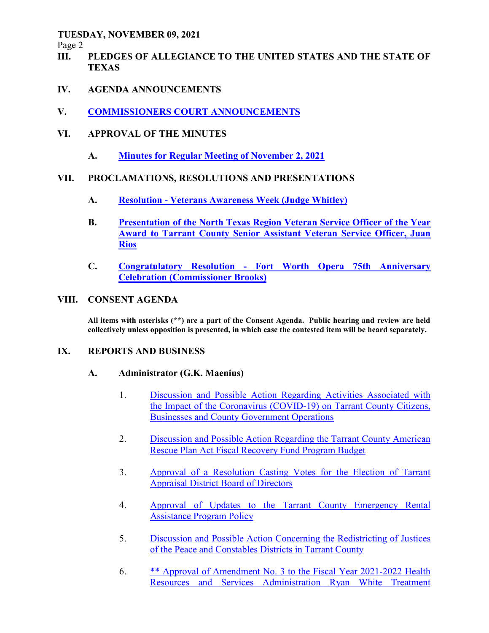Page 2

- **III. PLEDGES OF ALLEGIANCE TO THE UNITED STATES AND THE STATE OF TEXAS**
- **IV. AGENDA ANNOUNCEMENTS**
- **V. COMMISSIONERS COURT ANNOUNCEMENTS**
- **VI. APPROVAL OF THE MINUTES** 
	- **A. Minutes for Regular Meeting of November 2, 2021**

# **VII. PROCLAMATIONS, RESOLUTIONS AND PRESENTATIONS**

- **A. Resolution Veterans Awareness Week (Judge Whitley)**
- **B. Presentation of the North Texas Region Veteran Service Officer of the Year Award to Tarrant County Senior Assistant Veteran Service Officer, Juan Rios**
- **C. Congratulatory Resolution Fort Worth Opera 75th Anniversary Celebration (Commissioner Brooks)**

## **VIII. CONSENT AGENDA**

**All items with asterisks (\*\*) are a part of the Consent Agenda. Public hearing and review are held collectively unless opposition is presented, in which case the contested item will be heard separately.** 

## **IX. REPORTS AND BUSINESS**

## **A. Administrator (G.K. Maenius)**

- 1. Discussion and Possible Action Regarding Activities Associated with the Impact of the Coronavirus (COVID-19) on Tarrant County Citizens, Businesses and County Government Operations
- 2. Discussion and Possible Action Regarding the Tarrant County American Rescue Plan Act Fiscal Recovery Fund Program Budget
- 3. Approval of a Resolution Casting Votes for the Election of Tarrant Appraisal District Board of Directors
- 4. Approval of Updates to the Tarrant County Emergency Rental Assistance Program Policy
- 5. Discussion and Possible Action Concerning the Redistricting of Justices of the Peace and Constables Districts in Tarrant County
- 6. \*\* Approval of Amendment No. 3 to the Fiscal Year 2021-2022 Health Resources and Services Administration Ryan White Treatment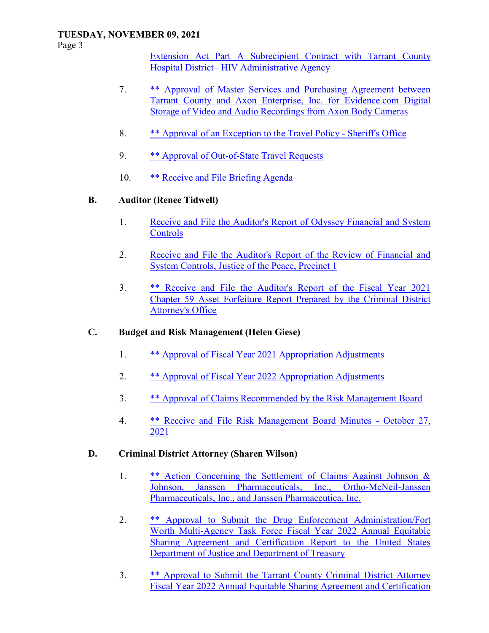Page 3

Extension Act Part A Subrecipient Contract with Tarrant County Hospital District– HIV Administrative Agency

- 7. \*\* Approval of Master Services and Purchasing Agreement between Tarrant County and Axon Enterprise, Inc. for Evidence.com Digital Storage of Video and Audio Recordings from Axon Body Cameras
- 8. \*\* Approval of an Exception to the Travel Policy Sheriff's Office
- 9. \*\* Approval of Out-of-State Travel Requests
- 10. \*\* Receive and File Briefing Agenda

# **B. Auditor (Renee Tidwell)**

- 1. Receive and File the Auditor's Report of Odyssey Financial and System **Controls**
- 2. Receive and File the Auditor's Report of the Review of Financial and System Controls, Justice of the Peace, Precinct 1
- 3. \*\* Receive and File the Auditor's Report of the Fiscal Year 2021 Chapter 59 Asset Forfeiture Report Prepared by the Criminal District Attorney's Office

## **C. Budget and Risk Management (Helen Giese)**

- 1. \*\* Approval of Fiscal Year 2021 Appropriation Adjustments
- 2. \*\* Approval of Fiscal Year 2022 Appropriation Adjustments
- 3. \*\* Approval of Claims Recommended by the Risk Management Board
- 4. \*\* Receive and File Risk Management Board Minutes October 27, 2021

## **D. Criminal District Attorney (Sharen Wilson)**

- 1. \*\* Action Concerning the Settlement of Claims Against Johnson & Johnson, Janssen Pharmaceuticals, Inc., Ortho-McNeil-Janssen Pharmaceuticals, Inc., and Janssen Pharmaceutica, Inc.
- 2. \*\* Approval to Submit the Drug Enforcement Administration/Fort Worth Multi-Agency Task Force Fiscal Year 2022 Annual Equitable Sharing Agreement and Certification Report to the United States Department of Justice and Department of Treasury
- 3. \*\* Approval to Submit the Tarrant County Criminal District Attorney Fiscal Year 2022 Annual Equitable Sharing Agreement and Certification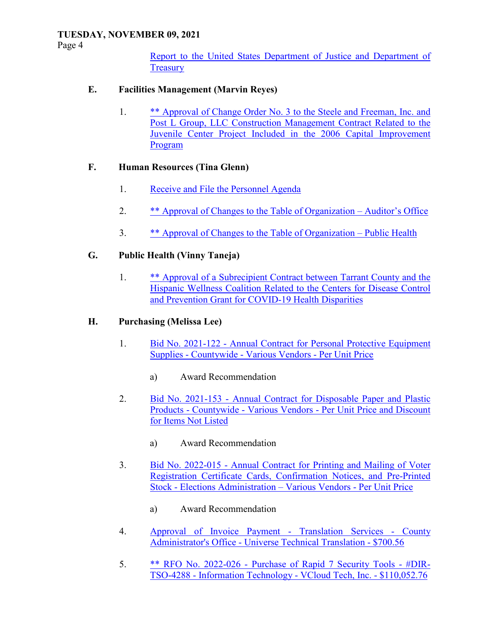Page 4

Report to the United States Department of Justice and Department of **Treasury** 

# **E. Facilities Management (Marvin Reyes)**

 1. \*\* Approval of Change Order No. 3 to the Steele and Freeman, Inc. and Post L Group, LLC Construction Management Contract Related to the Juvenile Center Project Included in the 2006 Capital Improvement Program

# **F. Human Resources (Tina Glenn)**

- 1. Receive and File the Personnel Agenda
- 2. \*\* Approval of Changes to the Table of Organization Auditor's Office
- 3. \*\* Approval of Changes to the Table of Organization Public Health

# **G. Public Health (Vinny Taneja)**

 1. \*\* Approval of a Subrecipient Contract between Tarrant County and the Hispanic Wellness Coalition Related to the Centers for Disease Control and Prevention Grant for COVID-19 Health Disparities

# **H. Purchasing (Melissa Lee)**

- 1. Bid No. 2021-122 Annual Contract for Personal Protective Equipment Supplies - Countywide - Various Vendors - Per Unit Price
	- a) Award Recommendation
- 2. Bid No. 2021-153 Annual Contract for Disposable Paper and Plastic Products - Countywide - Various Vendors - Per Unit Price and Discount for Items Not Listed
	- a) Award Recommendation
- 3. Bid No. 2022-015 Annual Contract for Printing and Mailing of Voter Registration Certificate Cards, Confirmation Notices, and Pre-Printed Stock - Elections Administration – Various Vendors - Per Unit Price
	- a) Award Recommendation
- 4. Approval of Invoice Payment Translation Services County Administrator's Office - Universe Technical Translation - \$700.56
- 5. \*\* RFO No. 2022-026 Purchase of Rapid 7 Security Tools #DIR-TSO-4288 - Information Technology - VCloud Tech, Inc. - \$110,052.76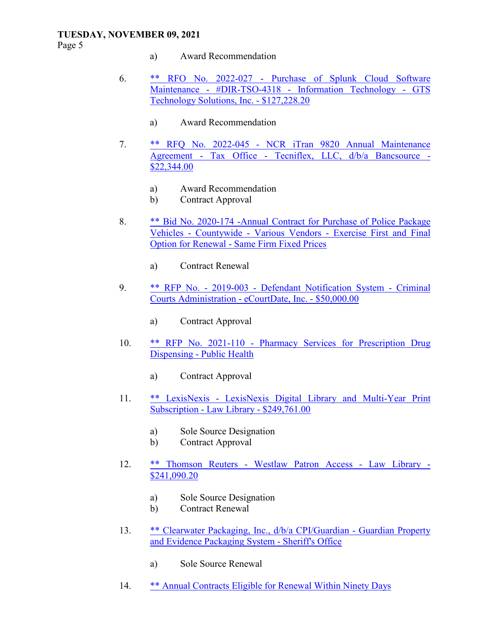Page 5

- a) Award Recommendation
- 6. \*\* RFO No. 2022-027 Purchase of Splunk Cloud Software Maintenance - #DIR-TSO-4318 - Information Technology - GTS Technology Solutions, Inc. - \$127,228.20
	- a) Award Recommendation
- 7. \*\* RFQ No. 2022-045 NCR iTran 9820 Annual Maintenance Agreement - Tax Office - Tecniflex, LLC, d/b/a Bancsource - \$22,344.00
	- a) Award Recommendation
	- b) Contract Approval
- 8. \*\* Bid No. 2020-174 -Annual Contract for Purchase of Police Package Vehicles - Countywide - Various Vendors - Exercise First and Final Option for Renewal - Same Firm Fixed Prices
	- a) Contract Renewal
- 9. \*\* RFP No. 2019-003 Defendant Notification System Criminal Courts Administration - eCourtDate, Inc. - \$50,000.00
	- a) Contract Approval
- 10. \*\* RFP No. 2021-110 Pharmacy Services for Prescription Drug Dispensing - Public Health
	- a) Contract Approval
- 11. \*\* LexisNexis LexisNexis Digital Library and Multi-Year Print Subscription - Law Library - \$249,761.00
	- a) Sole Source Designation
	- b) Contract Approval
- 12. \*\* Thomson Reuters Westlaw Patron Access Law Library \$241,090.20
	- a) Sole Source Designation
	- b) Contract Renewal
- 13. \*\* Clearwater Packaging, Inc., d/b/a CPI/Guardian Guardian Property and Evidence Packaging System - Sheriff's Office
	- a) Sole Source Renewal
- 14. \*\* Annual Contracts Eligible for Renewal Within Ninety Days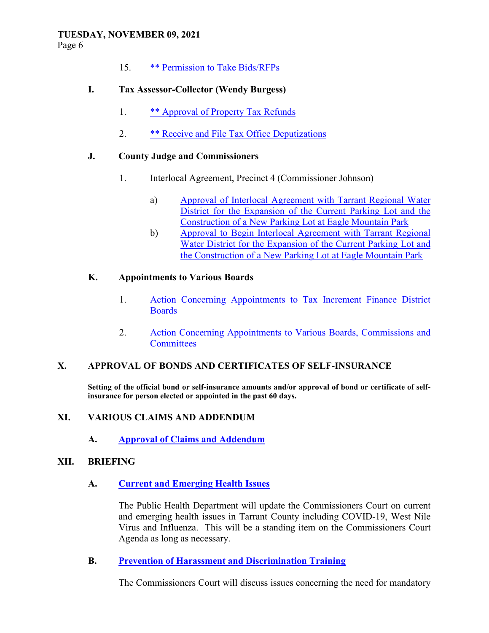Page 6

15. \*\* Permission to Take Bids/RFPs

## **I. Tax Assessor-Collector (Wendy Burgess)**

- 1. \*\* Approval of Property Tax Refunds
- 2. \*\* Receive and File Tax Office Deputizations

#### **J. County Judge and Commissioners**

- 1. Interlocal Agreement, Precinct 4 (Commissioner Johnson)
	- a) Approval of Interlocal Agreement with Tarrant Regional Water District for the Expansion of the Current Parking Lot and the Construction of a New Parking Lot at Eagle Mountain Park
	- b) Approval to Begin Interlocal Agreement with Tarrant Regional Water District for the Expansion of the Current Parking Lot and the Construction of a New Parking Lot at Eagle Mountain Park

#### **K. Appointments to Various Boards**

- 1. Action Concerning Appointments to Tax Increment Finance District **Boards**
- 2. Action Concerning Appointments to Various Boards, Commissions and **Committees**

## **X. APPROVAL OF BONDS AND CERTIFICATES OF SELF-INSURANCE**

**Setting of the official bond or self-insurance amounts and/or approval of bond or certificate of selfinsurance for person elected or appointed in the past 60 days.** 

#### **XI. VARIOUS CLAIMS AND ADDENDUM**

 **A. Approval of Claims and Addendum**

## **XII. BRIEFING**

## **A. Current and Emerging Health Issues**

The Public Health Department will update the Commissioners Court on current and emerging health issues in Tarrant County including COVID-19, West Nile Virus and Influenza. This will be a standing item on the Commissioners Court Agenda as long as necessary.

## **B. Prevention of Harassment and Discrimination Training**

The Commissioners Court will discuss issues concerning the need for mandatory